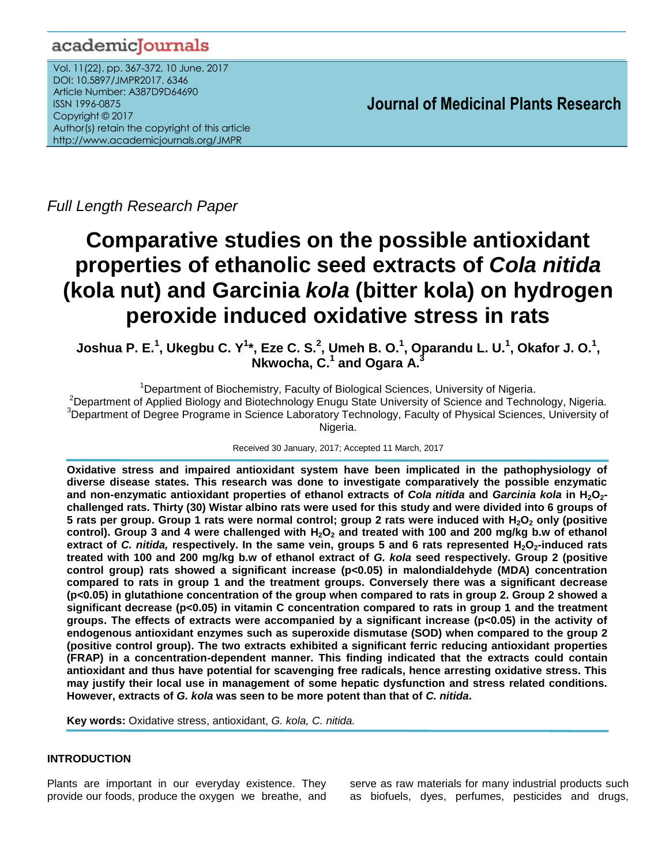# academicJournals

Vol. 11(22), pp. 367-372, 10 June, 2017 DOI: 10.5897/JMPR2017. 6346 Article Number: A387D9D64690 ISSN 1996-0875 Copyright © 2017 Author(s) retain the copyright of this article http://www.academicjournals.org/JMPR

 **Journal of Medicinal Plants Research**

*Full Length Research Paper* 

# **Comparative studies on the possible antioxidant properties of ethanolic seed extracts of** *Cola nitida*  **(kola nut) and Garcinia** *kola* **(bitter kola) on hydrogen peroxide induced oxidative stress in rats**

<code>Joshua P. E. $^{1}$ , Ukegbu C. Y $^{1*}$ , Eze C. S. $^{2}$ , Umeh B. O. $^{1}$ , Oparandu L. U. $^{1}$ , Okafor J. O. $^{1}$ ,</code> **Nkwocha, C. 1 and Ogara A. 3**

<sup>1</sup>Department of Biochemistry, Faculty of Biological Sciences, University of Nigeria. <sup>2</sup>Department of Applied Biology and Biotechnology Enugu State University of Science and Technology, Nigeria. <sup>3</sup>Department of Degree Programe in Science Laboratory Technology, Faculty of Physical Sciences, University of Nigeria.

Received 30 January, 2017; Accepted 11 March, 2017

**Oxidative stress and impaired antioxidant system have been implicated in the pathophysiology of diverse disease states. This research was done to investigate comparatively the possible enzymatic and non-enzymatic antioxidant properties of ethanol extracts of** *Cola nitida* **and** *Garcinia kola* **in H2O2 challenged rats. Thirty (30) Wistar albino rats were used for this study and were divided into 6 groups of**  5 rats per group. Group 1 rats were normal control; group 2 rats were induced with H<sub>2</sub>O<sub>2</sub> only (positive **control). Group 3 and 4 were challenged with H2O<sup>2</sup> and treated with 100 and 200 mg/kg b.w of ethanol extract of** *C. nitida,* **respectively. In the same vein, groups 5 and 6 rats represented H2O2-induced rats treated with 100 and 200 mg/kg b.w of ethanol extract of** *G. kola* **seed respectively. Group 2 (positive control group) rats showed a significant increase (p<0.05) in malondialdehyde (MDA) concentration compared to rats in group 1 and the treatment groups. Conversely there was a significant decrease (p<0.05) in glutathione concentration of the group when compared to rats in group 2. Group 2 showed a significant decrease (p<0.05) in vitamin C concentration compared to rats in group 1 and the treatment groups. The effects of extracts were accompanied by a significant increase (p<0.05) in the activity of endogenous antioxidant enzymes such as superoxide dismutase (SOD) when compared to the group 2 (positive control group). The two extracts exhibited a significant ferric reducing antioxidant properties (FRAP) in a concentration-dependent manner. This finding indicated that the extracts could contain antioxidant and thus have potential for scavenging free radicals, hence arresting oxidative stress. This may justify their local use in management of some hepatic dysfunction and stress related conditions. However, extracts of** *G. kola* **was seen to be more potent than that of** *C. nitida***.**

**Key words:** Oxidative stress, antioxidant, *G. kola, C. nitida.*

# **INTRODUCTION**

Plants are important in our everyday existence. They provide our foods, produce the oxygen we breathe, and serve as raw materials for many industrial products such as biofuels, dyes, perfumes, pesticides and drugs,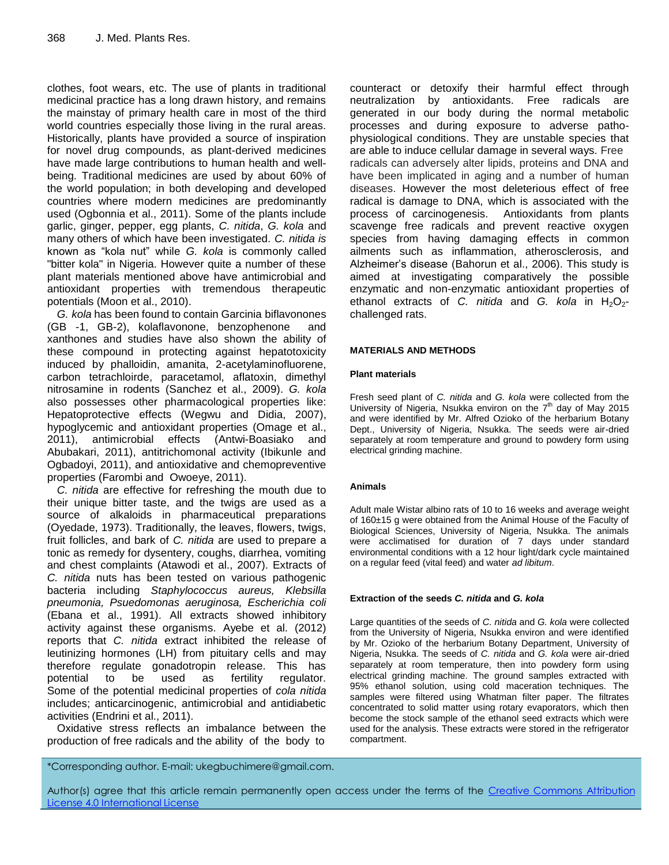clothes, foot wears, etc. The use of plants in traditional medicinal practice has a long drawn history, and remains the mainstay of primary health care in most of the third world countries especially those living in the rural areas. Historically, plants have provided a source of inspiration for novel drug compounds, as plant-derived medicines have made large contributions to human health and wellbeing. Traditional medicines are used by about 60% of the world population; in both developing and developed countries where modern medicines are predominantly used (Ogbonnia et al., 2011). Some of the plants include garlic, ginger, pepper, egg plants, *C. nitida*, *G. kola* and many others of which have been investigated. *C. nitida is* known as "kola nut" while *G. kola* is commonly called "bitter kola" in Nigeria. However quite a number of these plant materials mentioned above have antimicrobial and antioxidant properties with tremendous therapeutic potentials (Moon et al., 2010).

*G. kola* has been found to contain Garcinia biflavonones (GB -1, GB-2), kolaflavonone, benzophenone and xanthones and studies have also shown the ability of these compound in protecting against hepatotoxicity induced by phalloidin, amanita, 2-acetylaminofluorene, carbon tetrachloirde, paracetamol, aflatoxin, dimethyl nitrosamine in rodents (Sanchez et al., 2009). *G. kola* also possesses other pharmacological properties like: Hepatoprotective effects (Wegwu and Didia, 2007), hypoglycemic and antioxidant properties (Omage et al., 2011), antimicrobial effects (Antwi-Boasiako and Abubakari, 2011), antitrichomonal activity (Ibikunle and Ogbadoyi, 2011), and antioxidative and chemopreventive properties [\(Farombi](http://www.ncbi.nlm.nih.gov/pubmed/?term=Farombi%20EO%5Bauth%5D) and [Owoeye,](http://www.ncbi.nlm.nih.gov/pubmed/?term=Owoeye%20O%5Bauth%5D) 2011).

*C. nitida* are effective for refreshing the mouth due to their unique bitter taste, and the twigs are used as a source of alkaloids in pharmaceutical preparations (Oyedade, 1973). Traditionally, the leaves, flowers, twigs, fruit follicles, and bark of *C. nitida* are used to prepare a tonic as remedy for dysentery, coughs, diarrhea, vomiting and chest complaints (Atawodi et al., 2007). Extracts of *C. nitida* nuts has been tested on various pathogenic bacteria including *Staphylococcus aureus, Klebsilla pneumonia, Psuedomonas aeruginosa, Escherichia coli*  (Ebana et al., 1991). All extracts showed inhibitory activity against these organisms. Ayebe et al. (2012) reports that *C. nitida* extract inhibited the release of leutinizing hormones (LH) from pituitary cells and may therefore regulate gonadotropin release. This has potential to be used as fertility regulator. Some of the potential medicinal properties of *cola nitida* includes; anticarcinogenic, antimicrobial and antidiabetic activities (Endrini et al., 2011).

Oxidative stress reflects an imbalance between the production of free radicals and the ability of the body to

counteract or detoxify their harmful effect through neutralization by antioxidants. Free radicals are generated in our body during the normal metabolic processes and during exposure to adverse pathophysiological conditions. They are unstable species that are able to induce cellular damage in several ways. Free radicals can adversely alter lipids, proteins and DNA and have been implicated in aging and a number of human diseases. However the most deleterious effect of free radical is damage to DNA, which is associated with the process of carcinogenesis. Antioxidants from plants scavenge free radicals and prevent reactive oxygen species from having damaging effects in common ailments such as inflammation, atherosclerosis, and Alzheimer's disease (Bahorun et al., 2006). This study is aimed at investigating comparatively the possible enzymatic and non-enzymatic antioxidant properties of ethanol extracts of *C. nitida* and *G. kola* in  $H_2O_2$ challenged rats.

# **MATERIALS AND METHODS**

### **Plant materials**

Fresh seed plant of *C. nitida* and *G. kola* were collected from the University of Nigeria, Nsukka environ on the 7<sup>th</sup> day of May 2015 and were identified by Mr. Alfred Ozioko of the herbarium Botany Dept., University of Nigeria, Nsukka. The seeds were air-dried separately at room temperature and ground to powdery form using electrical grinding machine.

# **Animals**

Adult male Wistar albino rats of 10 to 16 weeks and average weight of 160±15 g were obtained from the Animal House of the Faculty of Biological Sciences, University of Nigeria, Nsukka. The animals were acclimatised for duration of 7 days under standard environmental conditions with a 12 hour light/dark cycle maintained on a regular feed (vital feed) and water *ad libitum*.

#### **Extraction of the seeds** *C. nitida* **and** *G. kola*

Large quantities of the seeds of *C. nitida* and *G. kola* were collected from the University of Nigeria, Nsukka environ and were identified by Mr. Ozioko of the herbarium Botany Department, University of Nigeria, Nsukka. The seeds of *C. nitida* and *G. kola* were air-dried separately at room temperature, then into powdery form using electrical grinding machine. The ground samples extracted with 95% ethanol solution, using cold maceration techniques. The samples were filtered using Whatman filter paper. The filtrates concentrated to solid matter using rotary evaporators, which then become the stock sample of the ethanol seed extracts which were used for the analysis. These extracts were stored in the refrigerator compartment.

\*Corresponding author. E-mail: ukegbuchimere@gmail.com.

Author(s) agree that this article remain permanently open access under the terms of the Creative Commons Attribution License 4.0 [International](http://creativecommons.org/licenses/by/4.0/deed.en_US) License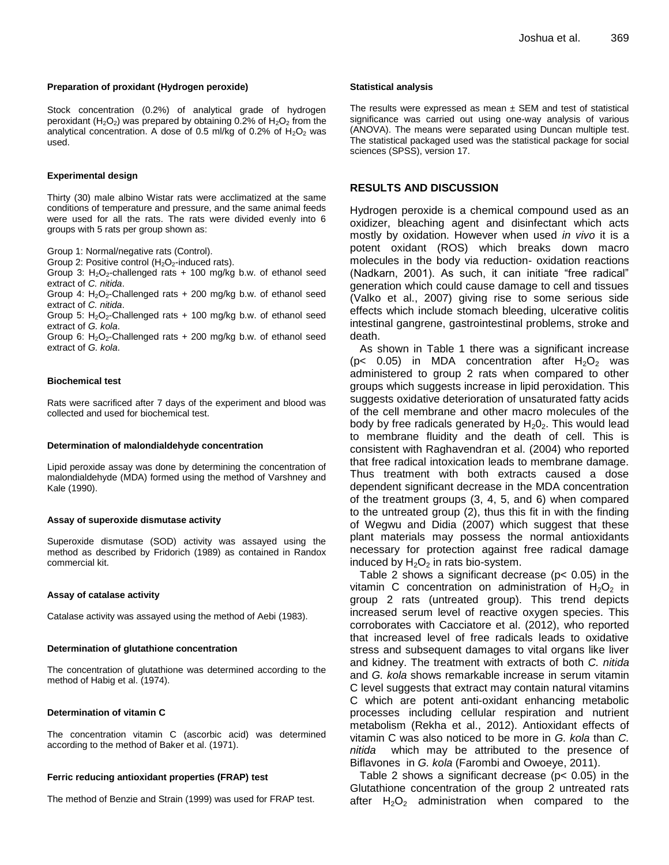#### **Preparation of proxidant (Hydrogen peroxide)**

Stock concentration (0.2%) of analytical grade of hydrogen peroxidant (H<sub>2</sub>O<sub>2</sub>) was prepared by obtaining 0.2% of H<sub>2</sub>O<sub>2</sub> from the analytical concentration. A dose of 0.5 ml/kg of 0.2% of  $H_2O_2$  was used.

#### **Experimental design**

Thirty (30) male albino Wistar rats were acclimatized at the same conditions of temperature and pressure, and the same animal feeds were used for all the rats. The rats were divided evenly into 6 groups with 5 rats per group shown as:

Group 1: Normal/negative rats (Control).

Group 2: Positive control  $(H_2O_2$ -induced rats).

Group 3:  $H_2O_2$ -challenged rats  $+$  100 mg/kg b.w. of ethanol seed extract of *C. nitida*.

Group 4:  $H_2O_2$ -Challenged rats  $+$  200 mg/kg b.w. of ethanol seed extract of *C. nitida*.

Group 5:  $H_2O_2$ -Challenged rats  $+$  100 mg/kg b.w. of ethanol seed extract of *G. kola*.

Group 6:  $H_2O_2$ -Challenged rats  $+$  200 mg/kg b.w. of ethanol seed extract of *G. kola*.

#### **Biochemical test**

Rats were sacrificed after 7 days of the experiment and blood was collected and used for biochemical test.

#### **Determination of malondialdehyde concentration**

Lipid peroxide assay was done by determining the concentration of malondialdehyde (MDA) formed using the method of Varshney and Kale (1990).

#### **Assay of superoxide dismutase activity**

Superoxide dismutase (SOD) activity was assayed using the method as described by Fridorich (1989) as contained in Randox commercial kit.

#### **Assay of catalase activity**

Catalase activity was assayed using the method of Aebi (1983).

#### **Determination of glutathione concentration**

The concentration of glutathione was determined according to the method of Habig et al. (1974).

#### **Determination of vitamin C**

The concentration vitamin C (ascorbic acid) was determined according to the method of Baker et al. (1971).

#### **Ferric reducing antioxidant properties (FRAP) test**

The method of Benzie and Strain (1999) was used for FRAP test.

#### **Statistical analysis**

The results were expressed as mean  $\pm$  SEM and test of statistical significance was carried out using one-way analysis of various (ANOVA). The means were separated using Duncan multiple test. The statistical packaged used was the statistical package for social sciences (SPSS), version 17.

## **RESULTS AND DISCUSSION**

Hydrogen peroxide is a chemical compound used as an oxidizer, bleaching agent and disinfectant which acts mostly by oxidation. However when used *in vivo* it is a potent oxidant (ROS) which breaks down macro molecules in the body via reduction- oxidation reactions (Nadkarn, 2001). As such, it can initiate "free radical" generation which could cause damage to cell and tissues (Valko et al., 2007) giving rise to some serious side effects which include stomach bleeding, ulcerative colitis intestinal gangrene, gastrointestinal problems, stroke and death.

As shown in Table 1 there was a significant increase (p< 0.05) in MDA concentration after  $H_2O_2$  was administered to group 2 rats when compared to other groups which suggests increase in lipid peroxidation. This suggests oxidative deterioration of unsaturated fatty acids of the cell membrane and other macro molecules of the body by free radicals generated by  $H_2O_2$ . This would lead to membrane fluidity and the death of cell. This is consistent with Raghavendran et al. (2004) who reported that free radical intoxication leads to membrane damage. Thus treatment with both extracts caused a dose dependent significant decrease in the MDA concentration of the treatment groups (3, 4, 5, and 6) when compared to the untreated group (2), thus this fit in with the finding of Wegwu and Didia (2007) which suggest that these plant materials may possess the normal antioxidants necessary for protection against free radical damage induced by  $H_2O_2$  in rats bio-system.

Table 2 shows a significant decrease ( $p$  < 0.05) in the vitamin C concentration on administration of  $H_2O_2$  in group 2 rats (untreated group). This trend depicts increased serum level of reactive oxygen species. This corroborates with Cacciatore et al. (2012), who reported that increased level of free radicals leads to oxidative stress and subsequent damages to vital organs like liver and kidney. The treatment with extracts of both *C. nitida* and *G. kola* shows remarkable increase in serum vitamin C level suggests that extract may contain natural vitamins C which are potent anti-oxidant enhancing metabolic processes including cellular respiration and nutrient metabolism (Rekha et al., 2012). Antioxidant effects of vitamin C was also noticed to be more in *G. kola* than *C. nitida* which may be attributed to the presence of Biflavones in *G. kola* (Farombi and Owoeye, 2011).

Table 2 shows a significant decrease ( $p < 0.05$ ) in the Glutathione concentration of the group 2 untreated rats after  $H_2O_2$  administration when compared to the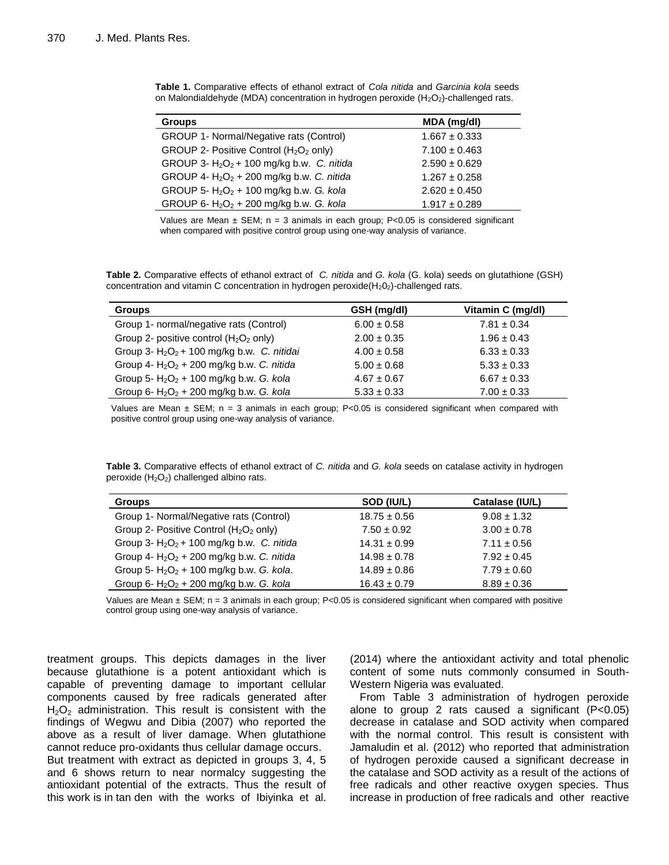| <b>Groups</b>                                                   | MDA (mg/dl)       |
|-----------------------------------------------------------------|-------------------|
| <b>GROUP 1- Normal/Negative rats (Control)</b>                  | $1.667 \pm 0.333$ |
| GROUP 2- Positive Control (H <sub>2</sub> O <sub>2</sub> only)  | $7.100 \pm 0.463$ |
| GROUP 3- $H_2O_2$ + 100 mg/kg b.w. C. nitida                    | $2.590 \pm 0.629$ |
| GROUP 4- $H_2O_2$ + 200 mg/kg b.w. C. nitida                    | $1.267 \pm 0.258$ |
| GROUP 5- $H_2O_2$ + 100 mg/kg b.w. G. kola                      | $2.620 \pm 0.450$ |
| GROUP 6- H <sub>2</sub> O <sub>2</sub> + 200 mg/kg b.w. G. kola | $1.917 \pm 0.289$ |

**Table 1.** Comparative effects of ethanol extract of *Cola nitida* and *Garcinia kola* seeds on Malondialdehyde (MDA) concentration in hydrogen peroxide  $(H_2O_2)$ -challenged rats.

Values are Mean  $\pm$  SEM; n = 3 animals in each group; P<0.05 is considered significant when compared with positive control group using one-way analysis of variance.

**Table 2.** Comparative effects of ethanol extract of *C. nitida* and *G. kola* (G. kola) seeds on glutathione (GSH) concentration and vitamin C concentration in hydrogen peroxide $(H_2O_2)$ -challenged rats.

| <b>Groups</b>                                     | GSH (mg/dl)     | Vitamin C (mg/dl) |
|---------------------------------------------------|-----------------|-------------------|
| Group 1- normal/negative rats (Control)           | $6.00 \pm 0.58$ | $7.81 \pm 0.34$   |
| Group 2- positive control $(H_2O_2)$ only)        | $2.00 \pm 0.35$ | $1.96 \pm 0.43$   |
| Group 3- $H_2O_2$ + 100 mg/kg b.w. C. nitidai     | $4.00 \pm 0.58$ | $6.33 \pm 0.33$   |
| Group 4- $H_2O_2$ + 200 mg/kg b.w. C. nitida      | $5.00 \pm 0.68$ | $5.33 \pm 0.33$   |
| Group 5- $H_2O_2$ + 100 mg/kg b.w. <i>G. kola</i> | $4.67 \pm 0.67$ | $6.67 \pm 0.33$   |
| Group 6- $H_2O_2$ + 200 mg/kg b.w. <i>G. kola</i> | $5.33 \pm 0.33$ | $7.00 \pm 0.33$   |

Values are Mean  $\pm$  SEM; n = 3 animals in each group; P<0.05 is considered significant when compared with positive control group using one-way analysis of variance.

**Table 3.** Comparative effects of ethanol extract of *C. nitida* and *G. kola* seeds on catalase activity in hydrogen peroxide  $(H_2O_2)$  challenged albino rats.

| <b>Groups</b>                                                  | SOD (IU/L)       | Catalase (IU/L) |
|----------------------------------------------------------------|------------------|-----------------|
| Group 1- Normal/Negative rats (Control)                        | $18.75 \pm 0.56$ | $9.08 \pm 1.32$ |
| Group 2- Positive Control (H <sub>2</sub> O <sub>2</sub> only) | $7.50 \pm 0.92$  | $3.00 \pm 0.78$ |
| Group 3- $H_2O_2$ + 100 mg/kg b.w. C. nitida                   | $14.31 \pm 0.99$ | $7.11 \pm 0.56$ |
| Group 4- $H_2O_2$ + 200 mg/kg b.w. C. nitida                   | $14.98 \pm 0.78$ | $7.92 \pm 0.45$ |
| Group 5- $H_2O_2$ + 100 mg/kg b.w. G. kola.                    | $14.89 \pm 0.86$ | $7.79 \pm 0.60$ |
| Group 6- $H_2O_2$ + 200 mg/kg b.w. <i>G. kola</i>              | $16.43 \pm 0.79$ | $8.89 \pm 0.36$ |

Values are Mean  $\pm$  SEM; n = 3 animals in each group; P<0.05 is considered significant when compared with positive control group using one-way analysis of variance.

treatment groups. This depicts damages in the liver because glutathione is a potent antioxidant which is capable of preventing damage to important cellular components caused by free radicals generated after  $H<sub>2</sub>O<sub>2</sub>$  administration. This result is consistent with the findings of Wegwu and Dibia (2007) who reported the above as a result of liver damage. When glutathione cannot reduce pro-oxidants thus cellular damage occurs. But treatment with extract as depicted in groups 3, 4, 5 and 6 shows return to near normalcy suggesting the antioxidant potential of the extracts. Thus the result of this work is in tan den with the works of Ibiyinka et al. (2014) where the antioxidant activity and total phenolic content of some nuts commonly consumed in South-Western Nigeria was evaluated.

From Table 3 administration of hydrogen peroxide alone to group 2 rats caused a significant  $(P<0.05)$ decrease in catalase and SOD activity when compared with the normal control. This result is consistent with Jamaludin et al. (2012) who reported that administration of hydrogen peroxide caused a significant decrease in the catalase and SOD activity as a result of the actions of free radicals and other reactive oxygen species. Thus increase in production of free radicals and other reactive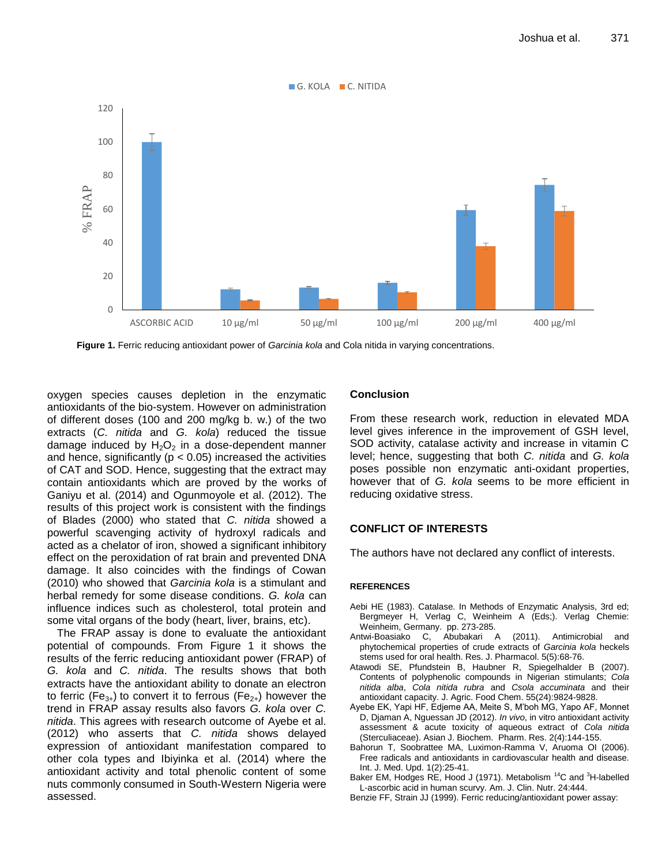

**Figure 1.** Ferric reducing antioxidant power of *Garcinia kola* and Cola nitida in varying concentrations.

oxygen species causes depletion in the enzymatic antioxidants of the bio-system. However on administration of different doses (100 and 200 mg/kg b. w.) of the two extracts (*C. nitida* and *G. kola*) reduced the tissue damage induced by  $H_2O_2$  in a dose-dependent manner and hence, significantly ( $p < 0.05$ ) increased the activities of CAT and SOD. Hence, suggesting that the extract may contain antioxidants which are proved by the works of Ganiyu et al. (2014) and Ogunmoyole et al. (2012). The results of this project work is consistent with the findings of Blades (2000) who stated that *C. nitida* showed a powerful scavenging activity of hydroxyl radicals and acted as a chelator of iron, showed a significant inhibitory effect on the peroxidation of rat brain and prevented DNA damage. It also coincides with the findings of Cowan (2010) who showed that *Garcinia kola* is a stimulant and herbal remedy for some disease conditions. *G. kola* can influence indices such as cholesterol, total protein and some vital organs of the body (heart, liver, brains, etc).

The FRAP assay is done to evaluate the antioxidant potential of compounds. From Figure 1 it shows the results of the ferric reducing antioxidant power (FRAP) of *G. kola* and *C. nitida*. The results shows that both extracts have the antioxidant ability to donate an electron to ferric (Fe<sub>3+</sub>) to convert it to ferrous (Fe<sub>2+</sub>) however the trend in FRAP assay results also favors *G. kola* over *C. nitida*. This agrees with research outcome of Ayebe et al. (2012) who asserts that *C. nitida* shows delayed expression of antioxidant manifestation compared to other cola types and Ibiyinka et al. (2014) where the antioxidant activity and total phenolic content of some nuts commonly consumed in South-Western Nigeria were assessed.

# **Conclusion**

From these research work, reduction in elevated MDA level gives inference in the improvement of GSH level, SOD activity, catalase activity and increase in vitamin C level; hence, suggesting that both *C. nitida* and *G. kola* poses possible non enzymatic anti-oxidant properties, however that of *G. kola* seems to be more efficient in reducing oxidative stress.

# **CONFLICT OF INTERESTS**

The authors have not declared any conflict of interests.

#### **REFERENCES**

- Aebi HE (1983). Catalase. In Methods of Enzymatic Analysis, 3rd ed; Bergmeyer H, Verlag C, Weinheim A (Eds;). Verlag Chemie: Weinheim, Germany. pp. 273-285.
- Antwi-Boasiako C, Abubakari A (2011). Antimicrobial and phytochemical properties of crude extracts of *Garcinia kola* heckels stems used for oral health. Res. J. Pharmacol. 5(5):68-76.
- Atawodi SE, Pfundstein B, Haubner R, Spiegelhalder B (2007). Contents of polyphenolic compounds in Nigerian stimulants; *Cola nitida alba*, *Cola nitida rubra* and *Csola accuminata* and their antioxidant capacity. J. Agric. Food Chem. 55(24):9824-9828.
- Ayebe EK, Yapi HF, Edjeme AA, Meite S, M'boh MG, Yapo AF, Monnet D, Djaman A, Nguessan JD (2012). *In vivo*, in vitro antioxidant activity assessment & acute toxicity of aqueous extract of *Cola nitida* (Sterculiaceae). Asian J. Biochem. Pharm. Res. 2(4):144-155.
- Bahorun T, Soobrattee MA, Luximon-Ramma V, Aruoma OI (2006). Free radicals and antioxidants in cardiovascular health and disease. Int. J. Med. Upd. 1(2):25-41.
- Baker EM, Hodges RE, Hood J (1971). Metabolism <sup>14</sup>C and <sup>3</sup>H-labelled L-ascorbic acid in human scurvy. Am. J. Clin. Nutr. 24:444.
- Benzie FF, Strain JJ (1999). Ferric reducing/antioxidant power assay: